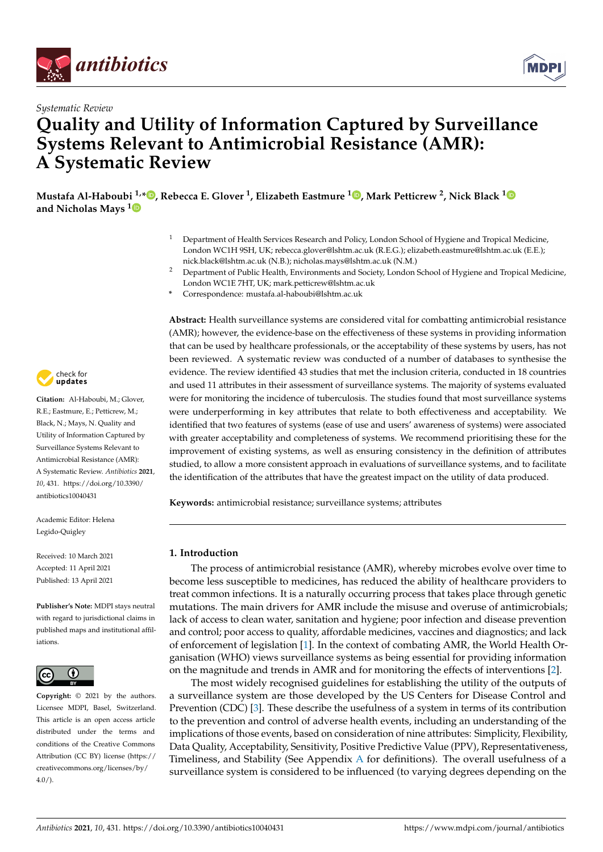



# **Quality and Utility of Information Captured by Surveillance Systems Relevant to Antimicrobial Resistance (AMR): A Systematic Review**

**Mustafa Al-Haboubi 1,[\\*](https://orcid.org/0000-0001-9847-2206) , Rebecca E. Glover <sup>1</sup> , Elizabeth Eastmure <sup>1</sup> [,](https://orcid.org/0000-0001-6796-3707) Mark Petticrew <sup>2</sup> , Nick Black [1](https://orcid.org/0000-0003-4771-3481) and Nicholas Mays [1](https://orcid.org/0000-0001-9808-8466)**

- <sup>1</sup> Department of Health Services Research and Policy, London School of Hygiene and Tropical Medicine, London WC1H 9SH, UK; rebecca.glover@lshtm.ac.uk (R.E.G.); elizabeth.eastmure@lshtm.ac.uk (E.E.); nick.black@lshtm.ac.uk (N.B.); nicholas.mays@lshtm.ac.uk (N.M.)
- <sup>2</sup> Department of Public Health, Environments and Society, London School of Hygiene and Tropical Medicine, London WC1E 7HT, UK; mark.petticrew@lshtm.ac.uk
- **\*** Correspondence: mustafa.al-haboubi@lshtm.ac.uk

**Abstract:** Health surveillance systems are considered vital for combatting antimicrobial resistance (AMR); however, the evidence-base on the effectiveness of these systems in providing information that can be used by healthcare professionals, or the acceptability of these systems by users, has not been reviewed. A systematic review was conducted of a number of databases to synthesise the evidence. The review identified 43 studies that met the inclusion criteria, conducted in 18 countries and used 11 attributes in their assessment of surveillance systems. The majority of systems evaluated were for monitoring the incidence of tuberculosis. The studies found that most surveillance systems were underperforming in key attributes that relate to both effectiveness and acceptability. We identified that two features of systems (ease of use and users' awareness of systems) were associated with greater acceptability and completeness of systems. We recommend prioritising these for the improvement of existing systems, as well as ensuring consistency in the definition of attributes studied, to allow a more consistent approach in evaluations of surveillance systems, and to facilitate the identification of the attributes that have the greatest impact on the utility of data produced.

**Keywords:** antimicrobial resistance; surveillance systems; attributes

#### **1. Introduction**

The process of antimicrobial resistance (AMR), whereby microbes evolve over time to become less susceptible to medicines, has reduced the ability of healthcare providers to treat common infections. It is a naturally occurring process that takes place through genetic mutations. The main drivers for AMR include the misuse and overuse of antimicrobials; lack of access to clean water, sanitation and hygiene; poor infection and disease prevention and control; poor access to quality, affordable medicines, vaccines and diagnostics; and lack of enforcement of legislation [\[1\]](#page-16-0). In the context of combating AMR, the World Health Organisation (WHO) views surveillance systems as being essential for providing information on the magnitude and trends in AMR and for monitoring the effects of interventions [\[2\]](#page-16-1).

The most widely recognised guidelines for establishing the utility of the outputs of a surveillance system are those developed by the US Centers for Disease Control and Prevention (CDC) [\[3\]](#page-16-2). These describe the usefulness of a system in terms of its contribution to the prevention and control of adverse health events, including an understanding of the implications of those events, based on consideration of nine attributes: Simplicity, Flexibility, Data Quality, Acceptability, Sensitivity, Positive Predictive Value (PPV), Representativeness, Timeliness, and Stability (See [A](#page-11-0)ppendix  $A$  for definitions). The overall usefulness of a surveillance system is considered to be influenced (to varying degrees depending on the



**Citation:** Al-Haboubi, M.; Glover, R.E.; Eastmure, E.; Petticrew, M.; Black, N.; Mays, N. Quality and Utility of Information Captured by Surveillance Systems Relevant to Antimicrobial Resistance (AMR): A Systematic Review. *Antibiotics* **2021**, *10*, 431. [https://doi.org/10.3390/](https://doi.org/10.3390/antibiotics10040431) [antibiotics10040431](https://doi.org/10.3390/antibiotics10040431)

Academic Editor: Helena Legido-Quigley

Received: 10 March 2021 Accepted: 11 April 2021 Published: 13 April 2021

**Publisher's Note:** MDPI stays neutral with regard to jurisdictional claims in published maps and institutional affiliations.



**Copyright:** © 2021 by the authors. Licensee MDPI, Basel, Switzerland. This article is an open access article distributed under the terms and conditions of the Creative Commons Attribution (CC BY) license (https:/[/](https://creativecommons.org/licenses/by/4.0/) [creativecommons.org/licenses/by/](https://creativecommons.org/licenses/by/4.0/) 4.0/).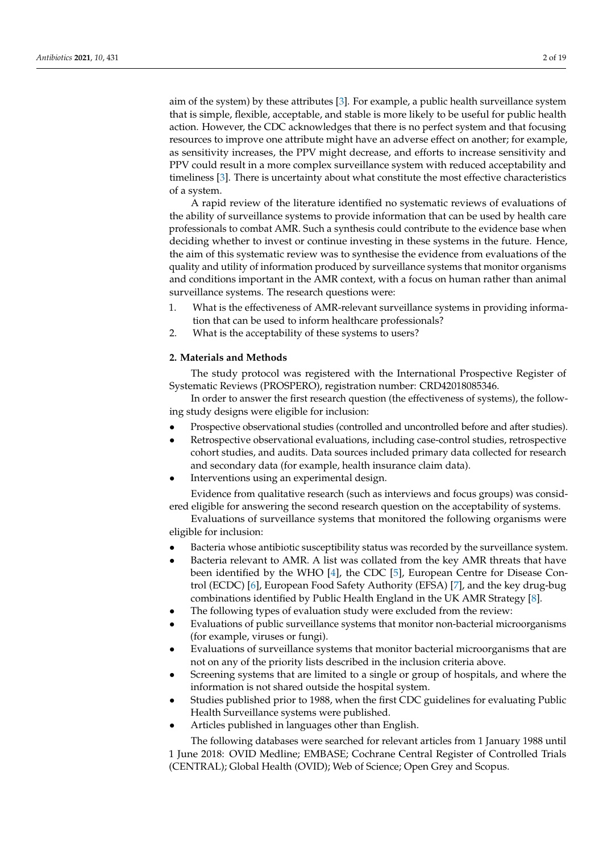aim of the system) by these attributes [\[3\]](#page-16-2). For example, a public health surveillance system that is simple, flexible, acceptable, and stable is more likely to be useful for public health action. However, the CDC acknowledges that there is no perfect system and that focusing resources to improve one attribute might have an adverse effect on another; for example, as sensitivity increases, the PPV might decrease, and efforts to increase sensitivity and PPV could result in a more complex surveillance system with reduced acceptability and timeliness [\[3\]](#page-16-2). There is uncertainty about what constitute the most effective characteristics of a system.

A rapid review of the literature identified no systematic reviews of evaluations of the ability of surveillance systems to provide information that can be used by health care professionals to combat AMR. Such a synthesis could contribute to the evidence base when deciding whether to invest or continue investing in these systems in the future. Hence, the aim of this systematic review was to synthesise the evidence from evaluations of the quality and utility of information produced by surveillance systems that monitor organisms and conditions important in the AMR context, with a focus on human rather than animal surveillance systems. The research questions were:

- 1. What is the effectiveness of AMR-relevant surveillance systems in providing information that can be used to inform healthcare professionals?
- 2. What is the acceptability of these systems to users?

#### **2. Materials and Methods**

The study protocol was registered with the International Prospective Register of Systematic Reviews (PROSPERO), registration number: CRD42018085346.

In order to answer the first research question (the effectiveness of systems), the following study designs were eligible for inclusion:

- Prospective observational studies (controlled and uncontrolled before and after studies).
- Retrospective observational evaluations, including case-control studies, retrospective cohort studies, and audits. Data sources included primary data collected for research and secondary data (for example, health insurance claim data).
- Interventions using an experimental design.

Evidence from qualitative research (such as interviews and focus groups) was considered eligible for answering the second research question on the acceptability of systems.

Evaluations of surveillance systems that monitored the following organisms were eligible for inclusion:

- Bacteria whose antibiotic susceptibility status was recorded by the surveillance system.
- Bacteria relevant to AMR. A list was collated from the key AMR threats that have been identified by the WHO [\[4\]](#page-16-3), the CDC [\[5\]](#page-16-4), European Centre for Disease Control (ECDC) [\[6\]](#page-16-5), European Food Safety Authority (EFSA) [\[7\]](#page-16-6), and the key drug-bug combinations identified by Public Health England in the UK AMR Strategy [\[8\]](#page-16-7).
- The following types of evaluation study were excluded from the review:
- Evaluations of public surveillance systems that monitor non-bacterial microorganisms (for example, viruses or fungi).
- Evaluations of surveillance systems that monitor bacterial microorganisms that are not on any of the priority lists described in the inclusion criteria above.
- Screening systems that are limited to a single or group of hospitals, and where the information is not shared outside the hospital system.
- Studies published prior to 1988, when the first CDC guidelines for evaluating Public Health Surveillance systems were published.
- Articles published in languages other than English.

The following databases were searched for relevant articles from 1 January 1988 until 1 June 2018: OVID Medline; EMBASE; Cochrane Central Register of Controlled Trials (CENTRAL); Global Health (OVID); Web of Science; Open Grey and Scopus.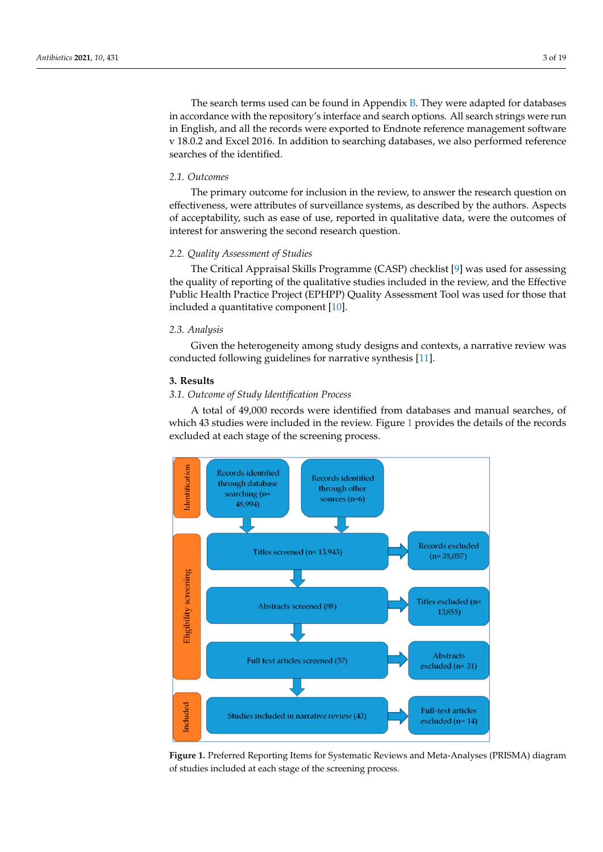The search terms used can be found [in](#page-11-1) Appendix B. They were adapted for databases in accordance with the repository's interface and search options. All search strings were run in English, and all the records were exported to Endnote reference management software In English, and all the records were exported to Endhote reference management sortware<br>v 18.0.2 and Excel 2016. In addition to searching databases, we also performed reference searches of the identified.  $\frac{1}{1-\epsilon}$ 

### *2.1. Outcomes*

The primary outcome for inclusion in the review, to answer the research question on *2.2. Quality Assessment of Studies*  effectiveness, were attributes of surveillance systems, as described by the authors. Aspects of acceptability, such as ease of use, reported in qualitative data, were the outcomes of interest for answering the second research question.

## 2.2. Quality Assessment of Studies

The Critical Appraisal Skills Programme (CASP) checklist [\[9\]](#page-16-8) was used for assessing the quality of reporting of the qualitative studies included in the review, and the Effective Public Health Practice Project (EPHPP) Quality Assessment Tool was used for those that *2.3. Analysis*  included a quantitative component [10].

#### *2.3. Analysis*  $2.3.$  Analysis  $\overline{a}$ .

Given the heterogeneity among study designs and contexts, a narrative review was conducted following guidelines for narrative synthesis [\[11\]](#page-16-10).

## **3. Results**

#### *3.1. Outcome of Study Identification Process* A total of 5 tudy mentification Process were identified from databases and manual searches, or of the manual searches, or of the manual searches, or other were in the manual searches, or other were in the manual searches,

A total of 49,000 records were identified from databases and manual searches, of which 43 studies were included in the review. Figure [1](#page-2-0) provides the details of the records which 43 studies were included in the review. Figure 1 provides the details of the records excluded at each stage of the screening process. excluded at each stage of the screening process.

<span id="page-2-0"></span>

**Figure 1.** Preferred Reporting Items for Systematic Reviews and Meta-Analyses (PRISMA) diagram of studies included at each stage of the screening process.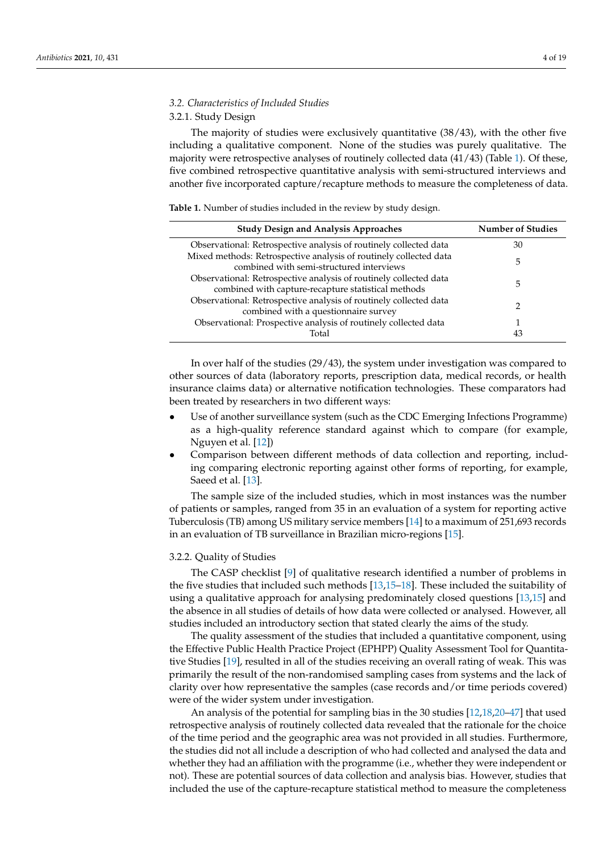#### *3.2. Characteristics of Included Studies*

#### 3.2.1. Study Design

The majority of studies were exclusively quantitative (38/43), with the other five including a qualitative component. None of the studies was purely qualitative. The majority were retrospective analyses of routinely collected data  $(41/43)$  (Table [1\)](#page-3-0). Of these, five combined retrospective quantitative analysis with semi-structured interviews and another five incorporated capture/recapture methods to measure the completeness of data.

<span id="page-3-0"></span>**Table 1.** Number of studies included in the review by study design.

| <b>Study Design and Analysis Approaches</b>                                                                              | <b>Number of Studies</b> |
|--------------------------------------------------------------------------------------------------------------------------|--------------------------|
| Observational: Retrospective analysis of routinely collected data                                                        | 30                       |
| Mixed methods: Retrospective analysis of routinely collected data<br>combined with semi-structured interviews            | 5                        |
| Observational: Retrospective analysis of routinely collected data<br>combined with capture-recapture statistical methods | 5                        |
| Observational: Retrospective analysis of routinely collected data<br>combined with a questionnaire survey                | ר                        |
| Observational: Prospective analysis of routinely collected data                                                          |                          |
| Total                                                                                                                    | 43                       |

In over half of the studies (29/43), the system under investigation was compared to other sources of data (laboratory reports, prescription data, medical records, or health insurance claims data) or alternative notification technologies. These comparators had been treated by researchers in two different ways:

- Use of another surveillance system (such as the CDC Emerging Infections Programme) as a high-quality reference standard against which to compare (for example, Nguyen et al. [\[12\]](#page-16-11))
- Comparison between different methods of data collection and reporting, including comparing electronic reporting against other forms of reporting, for example, Saeed et al. [\[13\]](#page-16-12).

The sample size of the included studies, which in most instances was the number of patients or samples, ranged from 35 in an evaluation of a system for reporting active Tuberculosis (TB) among US military service members [\[14\]](#page-16-13) to a maximum of 251,693 records in an evaluation of TB surveillance in Brazilian micro-regions [\[15\]](#page-16-14).

#### 3.2.2. Quality of Studies

The CASP checklist [\[9\]](#page-16-8) of qualitative research identified a number of problems in the five studies that included such methods [\[13](#page-16-12)[,15–](#page-16-14)[18\]](#page-16-15). These included the suitability of using a qualitative approach for analysing predominately closed questions [\[13,](#page-16-12)[15\]](#page-16-14) and the absence in all studies of details of how data were collected or analysed. However, all studies included an introductory section that stated clearly the aims of the study.

The quality assessment of the studies that included a quantitative component, using the Effective Public Health Practice Project (EPHPP) Quality Assessment Tool for Quantitative Studies [\[19\]](#page-16-16), resulted in all of the studies receiving an overall rating of weak. This was primarily the result of the non-randomised sampling cases from systems and the lack of clarity over how representative the samples (case records and/or time periods covered) were of the wider system under investigation.

An analysis of the potential for sampling bias in the 30 studies [\[12,](#page-16-11)[18,](#page-16-15)[20](#page-16-17)[–47\]](#page-17-0) that used retrospective analysis of routinely collected data revealed that the rationale for the choice of the time period and the geographic area was not provided in all studies. Furthermore, the studies did not all include a description of who had collected and analysed the data and whether they had an affiliation with the programme (i.e., whether they were independent or not). These are potential sources of data collection and analysis bias. However, studies that included the use of the capture-recapture statistical method to measure the completeness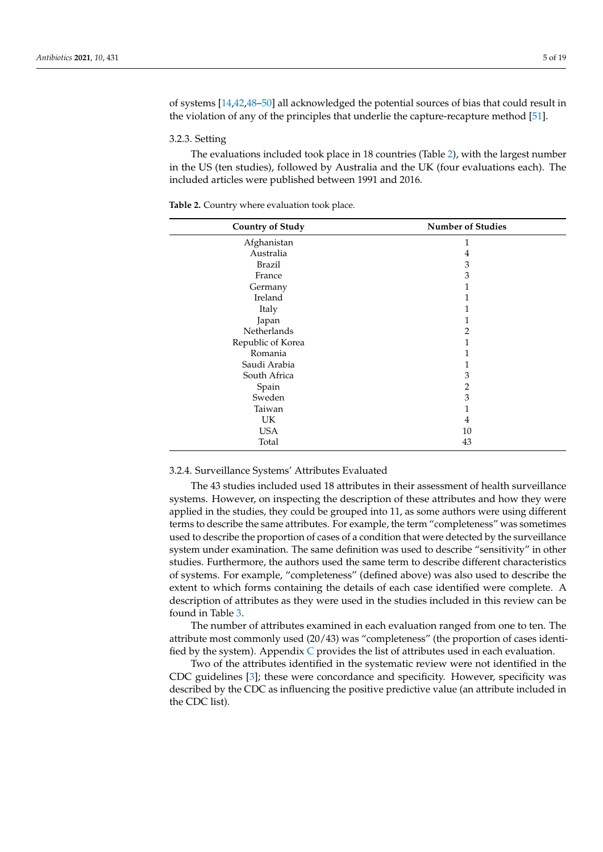of systems [\[14,](#page-16-13)[42,](#page-17-1)[48](#page-17-2)[–50\]](#page-17-3) all acknowledged the potential sources of bias that could result in the violation of any of the principles that underlie the capture-recapture method [\[51\]](#page-18-0).

#### 3.2.3. Setting

The evaluations included took place in 18 countries (Table [2\)](#page-4-0), with the largest number in the US (ten studies), followed by Australia and the UK (four evaluations each). The included articles were published between 1991 and 2016.

| <b>Country of Study</b> | <b>Number of Studies</b> |
|-------------------------|--------------------------|
| Afghanistan             |                          |
| Australia               | 4                        |
| <b>Brazil</b>           | 3                        |
| France                  | 3                        |
| Germany                 | 1                        |
| Ireland                 |                          |
| Italy                   |                          |
| Japan                   |                          |
| Netherlands             | 2                        |
| Republic of Korea       | 1                        |
| Romania                 |                          |
| Saudi Arabia            |                          |
| South Africa            | 3                        |
| Spain                   | 2                        |
| Sweden                  | 3                        |
| Taiwan                  | 1                        |
| UK                      | 4                        |
| <b>USA</b>              | 10                       |
| Total                   | 43                       |

<span id="page-4-0"></span>**Table 2.** Country where evaluation took place.

#### 3.2.4. Surveillance Systems' Attributes Evaluated

The 43 studies included used 18 attributes in their assessment of health surveillance systems. However, on inspecting the description of these attributes and how they were applied in the studies, they could be grouped into 11, as some authors were using different terms to describe the same attributes. For example, the term "completeness" was sometimes used to describe the proportion of cases of a condition that were detected by the surveillance system under examination. The same definition was used to describe "sensitivity" in other studies. Furthermore, the authors used the same term to describe different characteristics of systems. For example, "completeness" (defined above) was also used to describe the extent to which forms containing the details of each case identified were complete. A description of attributes as they were used in the studies included in this review can be found in Table [3.](#page-5-0)

The number of attributes examined in each evaluation ranged from one to ten. The attribute most commonly used (20/43) was "completeness" (the proportion of cases identified by the system). Appendix  $C$  provides the list of attributes used in each evaluation.

Two of the attributes identified in the systematic review were not identified in the CDC guidelines [\[3\]](#page-16-2); these were concordance and specificity. However, specificity was described by the CDC as influencing the positive predictive value (an attribute included in the CDC list).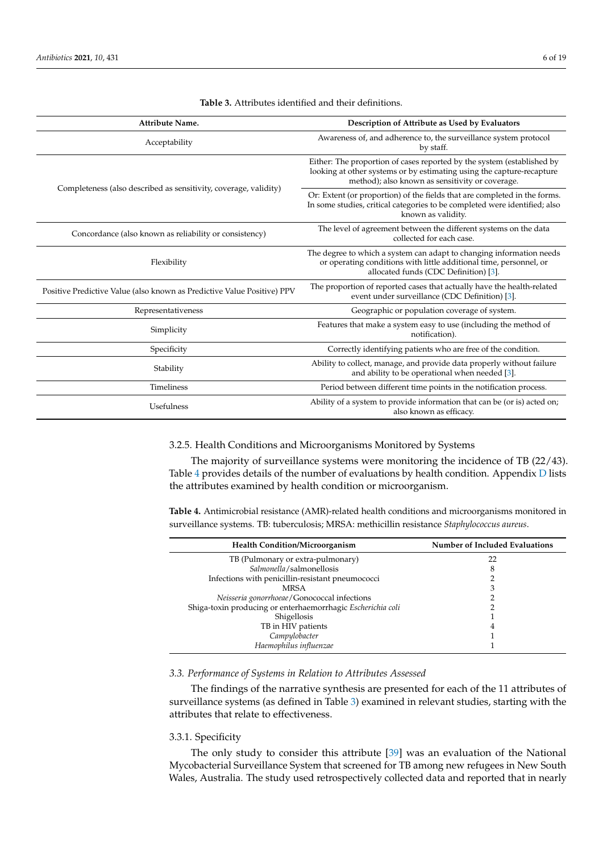<span id="page-5-0"></span>

| Attribute Name.                                                         | Description of Attribute as Used by Evaluators                                                                                                                                                     |  |  |  |  |  |
|-------------------------------------------------------------------------|----------------------------------------------------------------------------------------------------------------------------------------------------------------------------------------------------|--|--|--|--|--|
| Acceptability                                                           | Awareness of, and adherence to, the surveillance system protocol<br>by staff.                                                                                                                      |  |  |  |  |  |
|                                                                         | Either: The proportion of cases reported by the system (established by<br>looking at other systems or by estimating using the capture-recapture<br>method); also known as sensitivity or coverage. |  |  |  |  |  |
| Completeness (also described as sensitivity, coverage, validity)        | Or: Extent (or proportion) of the fields that are completed in the forms.<br>In some studies, critical categories to be completed were identified; also<br>known as validity.                      |  |  |  |  |  |
| Concordance (also known as reliability or consistency)                  | The level of agreement between the different systems on the data<br>collected for each case.                                                                                                       |  |  |  |  |  |
| Flexibility                                                             | The degree to which a system can adapt to changing information needs<br>or operating conditions with little additional time, personnel, or<br>allocated funds (CDC Definition) [3].                |  |  |  |  |  |
| Positive Predictive Value (also known as Predictive Value Positive) PPV | The proportion of reported cases that actually have the health-related<br>event under surveillance (CDC Definition) [3].                                                                           |  |  |  |  |  |
| Representativeness                                                      | Geographic or population coverage of system.                                                                                                                                                       |  |  |  |  |  |
| Simplicity                                                              | Features that make a system easy to use (including the method of<br>notification).                                                                                                                 |  |  |  |  |  |
| Specificity                                                             | Correctly identifying patients who are free of the condition.                                                                                                                                      |  |  |  |  |  |
| Stability                                                               | Ability to collect, manage, and provide data properly without failure<br>and ability to be operational when needed [3].                                                                            |  |  |  |  |  |
| Timeliness                                                              | Period between different time points in the notification process.                                                                                                                                  |  |  |  |  |  |
| Usefulness                                                              | Ability of a system to provide information that can be (or is) acted on;<br>also known as efficacy.                                                                                                |  |  |  |  |  |

**Table 3.** Attributes identified and their definitions.

#### 3.2.5. Health Conditions and Microorganisms Monitored by Systems

The majority of surveillance systems were monitoring the incidence of TB (22/43). Table [4](#page-5-1) provides details of the number of evaluations by health condition. Appendix  $D$  lists the attributes examined by health condition or microorganism.

<span id="page-5-1"></span>**Table 4.** Antimicrobial resistance (AMR)-related health conditions and microorganisms monitored in surveillance systems. TB: tuberculosis; MRSA: methicillin resistance *Staphylococcus aureus*.

| <b>Health Condition/Microorganism</b>                       | Number of Included Evaluations |
|-------------------------------------------------------------|--------------------------------|
| TB (Pulmonary or extra-pulmonary)                           | 22                             |
| Salmonella/salmonellosis                                    | ◠                              |
| Infections with penicillin-resistant pneumococci            |                                |
| <b>MRSA</b>                                                 |                                |
| Neisseria gonorrhoeae/Gonococcal infections                 |                                |
| Shiga-toxin producing or enterhaemorrhagic Escherichia coli |                                |
| Shigellosis                                                 |                                |
| TB in HIV patients                                          | 4                              |
| Campylobacter                                               |                                |
| Haemophilus influenzae                                      |                                |

#### *3.3. Performance of Systems in Relation to Attributes Assessed*

The findings of the narrative synthesis are presented for each of the 11 attributes of surveillance systems (as defined in Table [3\)](#page-5-0) examined in relevant studies, starting with the attributes that relate to effectiveness.

#### 3.3.1. Specificity

The only study to consider this attribute [\[39\]](#page-17-4) was an evaluation of the National Mycobacterial Surveillance System that screened for TB among new refugees in New South Wales, Australia. The study used retrospectively collected data and reported that in nearly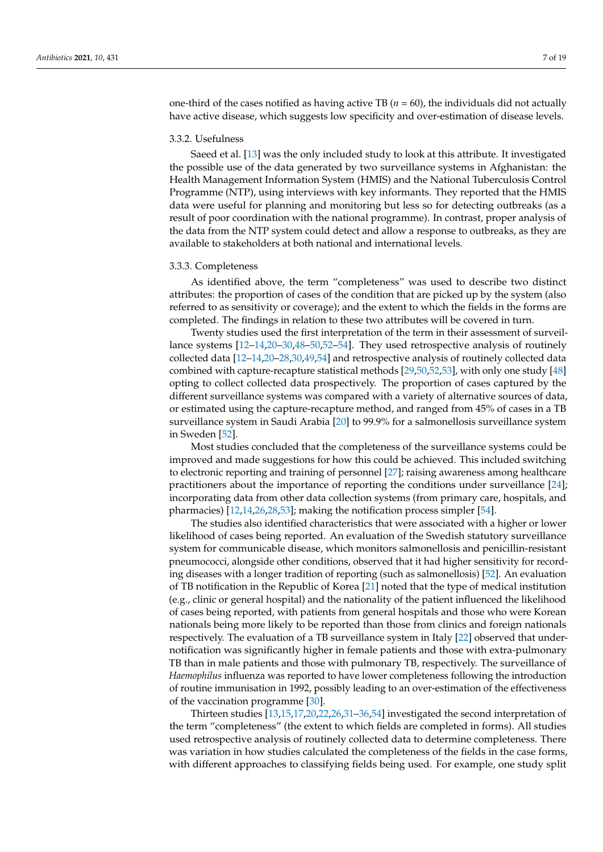one-third of the cases notified as having active TB ( $n = 60$ ), the individuals did not actually have active disease, which suggests low specificity and over-estimation of disease levels.

#### 3.3.2. Usefulness

Saeed et al. [\[13\]](#page-16-12) was the only included study to look at this attribute. It investigated the possible use of the data generated by two surveillance systems in Afghanistan: the Health Management Information System (HMIS) and the National Tuberculosis Control Programme (NTP), using interviews with key informants. They reported that the HMIS data were useful for planning and monitoring but less so for detecting outbreaks (as a result of poor coordination with the national programme). In contrast, proper analysis of the data from the NTP system could detect and allow a response to outbreaks, as they are available to stakeholders at both national and international levels.

#### 3.3.3. Completeness

As identified above, the term "completeness" was used to describe two distinct attributes: the proportion of cases of the condition that are picked up by the system (also referred to as sensitivity or coverage); and the extent to which the fields in the forms are completed. The findings in relation to these two attributes will be covered in turn.

Twenty studies used the first interpretation of the term in their assessment of surveillance systems [\[12](#page-16-11)[–14,](#page-16-13)[20–](#page-16-17)[30,](#page-17-5)[48](#page-17-2)[–50](#page-17-3)[,52–](#page-18-1)[54\]](#page-18-2). They used retrospective analysis of routinely collected data [\[12](#page-16-11)[–14](#page-16-13)[,20–](#page-16-17)[28,](#page-17-6)[30,](#page-17-5)[49,](#page-17-7)[54\]](#page-18-2) and retrospective analysis of routinely collected data combined with capture-recapture statistical methods [\[29,](#page-17-8)[50,](#page-17-3)[52](#page-18-1)[,53\]](#page-18-3), with only one study [\[48\]](#page-17-2) opting to collect collected data prospectively. The proportion of cases captured by the different surveillance systems was compared with a variety of alternative sources of data, or estimated using the capture-recapture method, and ranged from 45% of cases in a TB surveillance system in Saudi Arabia [\[20\]](#page-16-17) to 99.9% for a salmonellosis surveillance system in Sweden [\[52\]](#page-18-1).

Most studies concluded that the completeness of the surveillance systems could be improved and made suggestions for how this could be achieved. This included switching to electronic reporting and training of personnel [\[27\]](#page-17-9); raising awareness among healthcare practitioners about the importance of reporting the conditions under surveillance [\[24\]](#page-16-18); incorporating data from other data collection systems (from primary care, hospitals, and pharmacies) [\[12](#page-16-11)[,14](#page-16-13)[,26](#page-16-19)[,28,](#page-17-6)[53\]](#page-18-3); making the notification process simpler [\[54\]](#page-18-2).

The studies also identified characteristics that were associated with a higher or lower likelihood of cases being reported. An evaluation of the Swedish statutory surveillance system for communicable disease, which monitors salmonellosis and penicillin-resistant pneumococci, alongside other conditions, observed that it had higher sensitivity for recording diseases with a longer tradition of reporting (such as salmonellosis) [\[52\]](#page-18-1). An evaluation of TB notification in the Republic of Korea [\[21\]](#page-16-20) noted that the type of medical institution (e.g., clinic or general hospital) and the nationality of the patient influenced the likelihood of cases being reported, with patients from general hospitals and those who were Korean nationals being more likely to be reported than those from clinics and foreign nationals respectively. The evaluation of a TB surveillance system in Italy [\[22\]](#page-16-21) observed that undernotification was significantly higher in female patients and those with extra-pulmonary TB than in male patients and those with pulmonary TB, respectively. The surveillance of *Haemophilus* influenza was reported to have lower completeness following the introduction of routine immunisation in 1992, possibly leading to an over-estimation of the effectiveness of the vaccination programme [\[30\]](#page-17-5).

Thirteen studies [\[13](#page-16-12)[,15](#page-16-14)[,17](#page-16-22)[,20,](#page-16-17)[22,](#page-16-21)[26,](#page-16-19)[31–](#page-17-10)[36](#page-17-11)[,54\]](#page-18-2) investigated the second interpretation of the term "completeness" (the extent to which fields are completed in forms). All studies used retrospective analysis of routinely collected data to determine completeness. There was variation in how studies calculated the completeness of the fields in the case forms, with different approaches to classifying fields being used. For example, one study split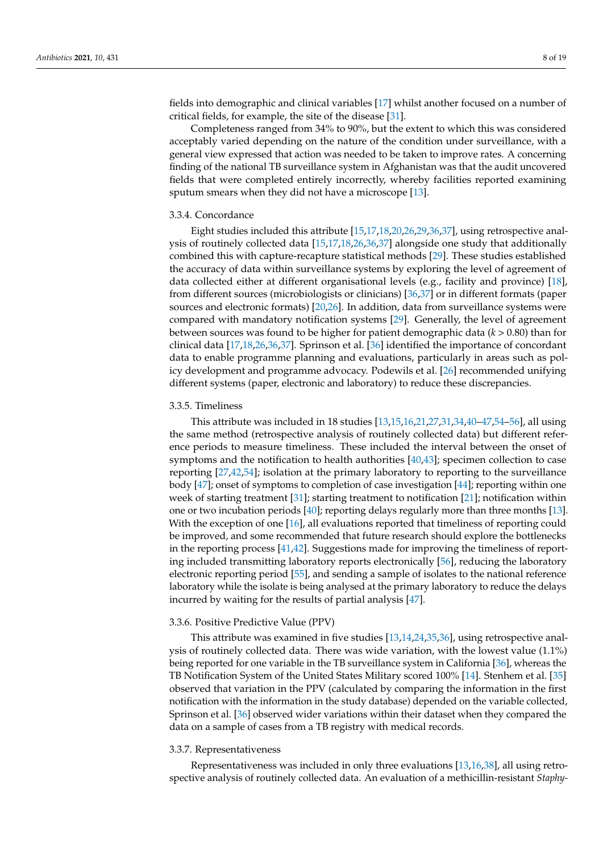fields into demographic and clinical variables [\[17\]](#page-16-22) whilst another focused on a number of critical fields, for example, the site of the disease [\[31\]](#page-17-10).

Completeness ranged from 34% to 90%, but the extent to which this was considered acceptably varied depending on the nature of the condition under surveillance, with a general view expressed that action was needed to be taken to improve rates. A concerning finding of the national TB surveillance system in Afghanistan was that the audit uncovered fields that were completed entirely incorrectly, whereby facilities reported examining sputum smears when they did not have a microscope [\[13\]](#page-16-12).

#### 3.3.4. Concordance

Eight studies included this attribute [\[15](#page-16-14)[,17](#page-16-22)[,18](#page-16-15)[,20,](#page-16-17)[26,](#page-16-19)[29](#page-17-8)[,36](#page-17-11)[,37\]](#page-17-12), using retrospective analysis of routinely collected data [\[15](#page-16-14)[,17,](#page-16-22)[18](#page-16-15)[,26,](#page-16-19)[36](#page-17-11)[,37\]](#page-17-12) alongside one study that additionally combined this with capture-recapture statistical methods [\[29\]](#page-17-8). These studies established the accuracy of data within surveillance systems by exploring the level of agreement of data collected either at different organisational levels (e.g., facility and province) [\[18\]](#page-16-15), from different sources (microbiologists or clinicians) [\[36](#page-17-11)[,37\]](#page-17-12) or in different formats (paper sources and electronic formats) [\[20](#page-16-17)[,26\]](#page-16-19). In addition, data from surveillance systems were compared with mandatory notification systems [\[29\]](#page-17-8). Generally, the level of agreement between sources was found to be higher for patient demographic data (*k* > 0.80) than for clinical data [\[17,](#page-16-22)[18,](#page-16-15)[26,](#page-16-19)[36,](#page-17-11)[37\]](#page-17-12). Sprinson et al. [\[36\]](#page-17-11) identified the importance of concordant data to enable programme planning and evaluations, particularly in areas such as policy development and programme advocacy. Podewils et al. [\[26\]](#page-16-19) recommended unifying different systems (paper, electronic and laboratory) to reduce these discrepancies.

#### 3.3.5. Timeliness

This attribute was included in 18 studies [\[13](#page-16-12)[,15](#page-16-14)[,16](#page-16-23)[,21](#page-16-20)[,27](#page-17-9)[,31,](#page-17-10)[34,](#page-17-13)[40–](#page-17-14)[47,](#page-17-0)[54](#page-18-2)[–56\]](#page-18-4), all using the same method (retrospective analysis of routinely collected data) but different reference periods to measure timeliness. These included the interval between the onset of symptoms and the notification to health authorities [\[40](#page-17-14)[,43\]](#page-17-15); specimen collection to case reporting [\[27](#page-17-9)[,42](#page-17-1)[,54\]](#page-18-2); isolation at the primary laboratory to reporting to the surveillance body [\[47\]](#page-17-0); onset of symptoms to completion of case investigation [\[44\]](#page-17-16); reporting within one week of starting treatment [\[31\]](#page-17-10); starting treatment to notification [\[21\]](#page-16-20); notification within one or two incubation periods [\[40\]](#page-17-14); reporting delays regularly more than three months [\[13\]](#page-16-12). With the exception of one [\[16\]](#page-16-23), all evaluations reported that timeliness of reporting could be improved, and some recommended that future research should explore the bottlenecks in the reporting process [\[41](#page-17-17)[,42\]](#page-17-1). Suggestions made for improving the timeliness of reporting included transmitting laboratory reports electronically [\[56\]](#page-18-4), reducing the laboratory electronic reporting period [\[55\]](#page-18-5), and sending a sample of isolates to the national reference laboratory while the isolate is being analysed at the primary laboratory to reduce the delays incurred by waiting for the results of partial analysis [\[47\]](#page-17-0).

#### 3.3.6. Positive Predictive Value (PPV)

This attribute was examined in five studies [\[13,](#page-16-12)[14,](#page-16-13)[24](#page-16-18)[,35](#page-17-18)[,36\]](#page-17-11), using retrospective analysis of routinely collected data. There was wide variation, with the lowest value (1.1%) being reported for one variable in the TB surveillance system in California [\[36\]](#page-17-11), whereas the TB Notification System of the United States Military scored 100% [\[14\]](#page-16-13). Stenhem et al. [\[35\]](#page-17-18) observed that variation in the PPV (calculated by comparing the information in the first notification with the information in the study database) depended on the variable collected, Sprinson et al. [\[36\]](#page-17-11) observed wider variations within their dataset when they compared the data on a sample of cases from a TB registry with medical records.

#### 3.3.7. Representativeness

Representativeness was included in only three evaluations [\[13](#page-16-12)[,16](#page-16-23)[,38\]](#page-17-19), all using retrospective analysis of routinely collected data. An evaluation of a methicillin-resistant *Staphy-*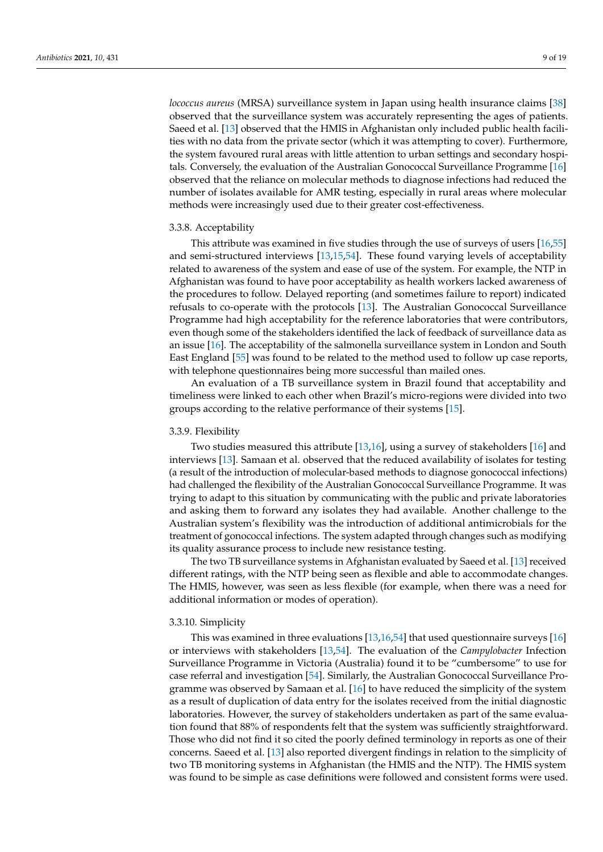*lococcus aureus* (MRSA) surveillance system in Japan using health insurance claims [\[38\]](#page-17-19) observed that the surveillance system was accurately representing the ages of patients. Saeed et al. [\[13\]](#page-16-12) observed that the HMIS in Afghanistan only included public health facilities with no data from the private sector (which it was attempting to cover). Furthermore, the system favoured rural areas with little attention to urban settings and secondary hospitals. Conversely, the evaluation of the Australian Gonococcal Surveillance Programme [\[16\]](#page-16-23) observed that the reliance on molecular methods to diagnose infections had reduced the number of isolates available for AMR testing, especially in rural areas where molecular methods were increasingly used due to their greater cost-effectiveness.

#### 3.3.8. Acceptability

This attribute was examined in five studies through the use of surveys of users [\[16,](#page-16-23)[55\]](#page-18-5) and semi-structured interviews [\[13](#page-16-12)[,15](#page-16-14)[,54\]](#page-18-2). These found varying levels of acceptability related to awareness of the system and ease of use of the system. For example, the NTP in Afghanistan was found to have poor acceptability as health workers lacked awareness of the procedures to follow. Delayed reporting (and sometimes failure to report) indicated refusals to co-operate with the protocols [\[13\]](#page-16-12). The Australian Gonococcal Surveillance Programme had high acceptability for the reference laboratories that were contributors, even though some of the stakeholders identified the lack of feedback of surveillance data as an issue [\[16\]](#page-16-23). The acceptability of the salmonella surveillance system in London and South East England [\[55\]](#page-18-5) was found to be related to the method used to follow up case reports, with telephone questionnaires being more successful than mailed ones.

An evaluation of a TB surveillance system in Brazil found that acceptability and timeliness were linked to each other when Brazil's micro-regions were divided into two groups according to the relative performance of their systems [\[15\]](#page-16-14).

#### 3.3.9. Flexibility

Two studies measured this attribute [\[13](#page-16-12)[,16\]](#page-16-23), using a survey of stakeholders [\[16\]](#page-16-23) and interviews [\[13\]](#page-16-12). Samaan et al. observed that the reduced availability of isolates for testing (a result of the introduction of molecular-based methods to diagnose gonococcal infections) had challenged the flexibility of the Australian Gonococcal Surveillance Programme. It was trying to adapt to this situation by communicating with the public and private laboratories and asking them to forward any isolates they had available. Another challenge to the Australian system's flexibility was the introduction of additional antimicrobials for the treatment of gonococcal infections. The system adapted through changes such as modifying its quality assurance process to include new resistance testing.

The two TB surveillance systems in Afghanistan evaluated by Saeed et al. [\[13\]](#page-16-12) received different ratings, with the NTP being seen as flexible and able to accommodate changes. The HMIS, however, was seen as less flexible (for example, when there was a need for additional information or modes of operation).

#### 3.3.10. Simplicity

This was examined in three evaluations [\[13](#page-16-12)[,16](#page-16-23)[,54\]](#page-18-2) that used questionnaire surveys [\[16\]](#page-16-23) or interviews with stakeholders [\[13,](#page-16-12)[54\]](#page-18-2). The evaluation of the *Campylobacter* Infection Surveillance Programme in Victoria (Australia) found it to be "cumbersome" to use for case referral and investigation [\[54\]](#page-18-2). Similarly, the Australian Gonococcal Surveillance Programme was observed by Samaan et al. [\[16\]](#page-16-23) to have reduced the simplicity of the system as a result of duplication of data entry for the isolates received from the initial diagnostic laboratories. However, the survey of stakeholders undertaken as part of the same evaluation found that 88% of respondents felt that the system was sufficiently straightforward. Those who did not find it so cited the poorly defined terminology in reports as one of their concerns. Saeed et al. [\[13\]](#page-16-12) also reported divergent findings in relation to the simplicity of two TB monitoring systems in Afghanistan (the HMIS and the NTP). The HMIS system was found to be simple as case definitions were followed and consistent forms were used.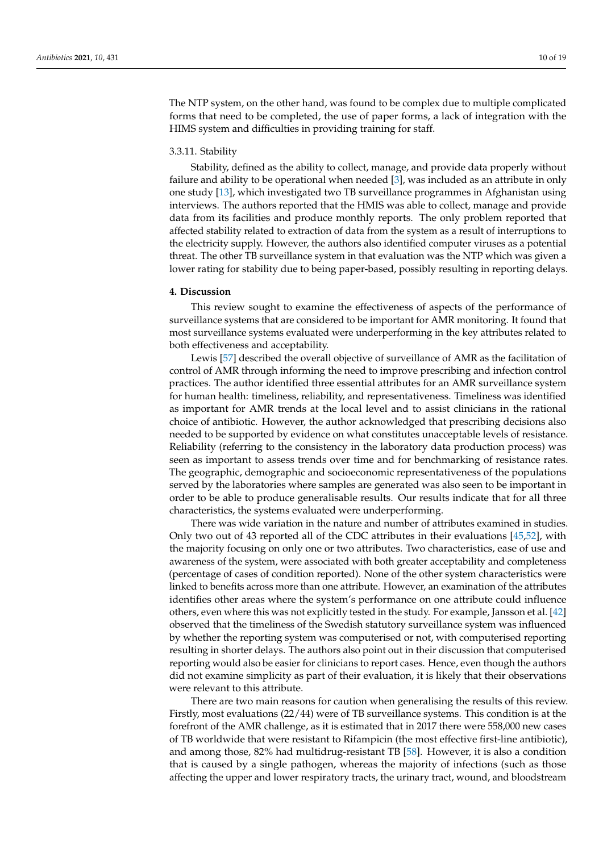The NTP system, on the other hand, was found to be complex due to multiple complicated forms that need to be completed, the use of paper forms, a lack of integration with the HIMS system and difficulties in providing training for staff.

#### 3.3.11. Stability

Stability, defined as the ability to collect, manage, and provide data properly without failure and ability to be operational when needed [\[3\]](#page-16-2), was included as an attribute in only one study [\[13\]](#page-16-12), which investigated two TB surveillance programmes in Afghanistan using interviews. The authors reported that the HMIS was able to collect, manage and provide data from its facilities and produce monthly reports. The only problem reported that affected stability related to extraction of data from the system as a result of interruptions to the electricity supply. However, the authors also identified computer viruses as a potential threat. The other TB surveillance system in that evaluation was the NTP which was given a lower rating for stability due to being paper-based, possibly resulting in reporting delays.

#### **4. Discussion**

This review sought to examine the effectiveness of aspects of the performance of surveillance systems that are considered to be important for AMR monitoring. It found that most surveillance systems evaluated were underperforming in the key attributes related to both effectiveness and acceptability.

Lewis [\[57\]](#page-18-6) described the overall objective of surveillance of AMR as the facilitation of control of AMR through informing the need to improve prescribing and infection control practices. The author identified three essential attributes for an AMR surveillance system for human health: timeliness, reliability, and representativeness. Timeliness was identified as important for AMR trends at the local level and to assist clinicians in the rational choice of antibiotic. However, the author acknowledged that prescribing decisions also needed to be supported by evidence on what constitutes unacceptable levels of resistance. Reliability (referring to the consistency in the laboratory data production process) was seen as important to assess trends over time and for benchmarking of resistance rates. The geographic, demographic and socioeconomic representativeness of the populations served by the laboratories where samples are generated was also seen to be important in order to be able to produce generalisable results. Our results indicate that for all three characteristics, the systems evaluated were underperforming.

There was wide variation in the nature and number of attributes examined in studies. Only two out of 43 reported all of the CDC attributes in their evaluations [\[45,](#page-17-20)[52\]](#page-18-1), with the majority focusing on only one or two attributes. Two characteristics, ease of use and awareness of the system, were associated with both greater acceptability and completeness (percentage of cases of condition reported). None of the other system characteristics were linked to benefits across more than one attribute. However, an examination of the attributes identifies other areas where the system's performance on one attribute could influence others, even where this was not explicitly tested in the study. For example, Jansson et al. [\[42\]](#page-17-1) observed that the timeliness of the Swedish statutory surveillance system was influenced by whether the reporting system was computerised or not, with computerised reporting resulting in shorter delays. The authors also point out in their discussion that computerised reporting would also be easier for clinicians to report cases. Hence, even though the authors did not examine simplicity as part of their evaluation, it is likely that their observations were relevant to this attribute.

There are two main reasons for caution when generalising the results of this review. Firstly, most evaluations (22/44) were of TB surveillance systems. This condition is at the forefront of the AMR challenge, as it is estimated that in 2017 there were 558,000 new cases of TB worldwide that were resistant to Rifampicin (the most effective first-line antibiotic), and among those, 82% had multidrug-resistant TB [\[58\]](#page-18-7). However, it is also a condition that is caused by a single pathogen, whereas the majority of infections (such as those affecting the upper and lower respiratory tracts, the urinary tract, wound, and bloodstream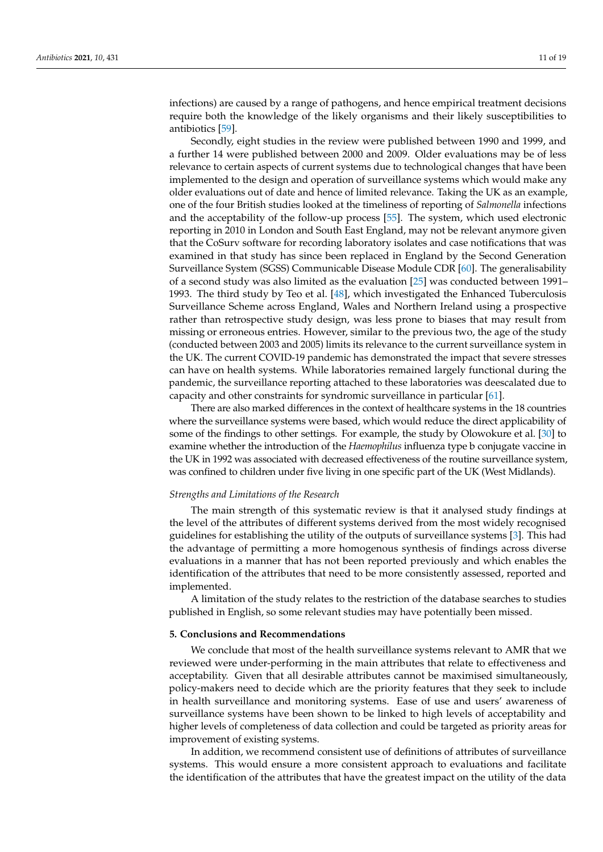infections) are caused by a range of pathogens, and hence empirical treatment decisions require both the knowledge of the likely organisms and their likely susceptibilities to antibiotics [\[59\]](#page-18-8).

Secondly, eight studies in the review were published between 1990 and 1999, and a further 14 were published between 2000 and 2009. Older evaluations may be of less relevance to certain aspects of current systems due to technological changes that have been implemented to the design and operation of surveillance systems which would make any older evaluations out of date and hence of limited relevance. Taking the UK as an example, one of the four British studies looked at the timeliness of reporting of *Salmonella* infections and the acceptability of the follow-up process [\[55\]](#page-18-5). The system, which used electronic reporting in 2010 in London and South East England, may not be relevant anymore given that the CoSurv software for recording laboratory isolates and case notifications that was examined in that study has since been replaced in England by the Second Generation Surveillance System (SGSS) Communicable Disease Module CDR [\[60\]](#page-18-9). The generalisability of a second study was also limited as the evaluation [\[25\]](#page-16-24) was conducted between 1991– 1993. The third study by Teo et al. [\[48\]](#page-17-2), which investigated the Enhanced Tuberculosis Surveillance Scheme across England, Wales and Northern Ireland using a prospective rather than retrospective study design, was less prone to biases that may result from missing or erroneous entries. However, similar to the previous two, the age of the study (conducted between 2003 and 2005) limits its relevance to the current surveillance system in the UK. The current COVID-19 pandemic has demonstrated the impact that severe stresses can have on health systems. While laboratories remained largely functional during the pandemic, the surveillance reporting attached to these laboratories was deescalated due to capacity and other constraints for syndromic surveillance in particular [\[61\]](#page-18-10).

There are also marked differences in the context of healthcare systems in the 18 countries where the surveillance systems were based, which would reduce the direct applicability of some of the findings to other settings. For example, the study by Olowokure et al. [\[30\]](#page-17-5) to examine whether the introduction of the *Haemophilus* influenza type b conjugate vaccine in the UK in 1992 was associated with decreased effectiveness of the routine surveillance system, was confined to children under five living in one specific part of the UK (West Midlands).

#### *Strengths and Limitations of the Research*

The main strength of this systematic review is that it analysed study findings at the level of the attributes of different systems derived from the most widely recognised guidelines for establishing the utility of the outputs of surveillance systems [\[3\]](#page-16-2). This had the advantage of permitting a more homogenous synthesis of findings across diverse evaluations in a manner that has not been reported previously and which enables the identification of the attributes that need to be more consistently assessed, reported and implemented.

A limitation of the study relates to the restriction of the database searches to studies published in English, so some relevant studies may have potentially been missed.

#### **5. Conclusions and Recommendations**

We conclude that most of the health surveillance systems relevant to AMR that we reviewed were under-performing in the main attributes that relate to effectiveness and acceptability. Given that all desirable attributes cannot be maximised simultaneously, policy-makers need to decide which are the priority features that they seek to include in health surveillance and monitoring systems. Ease of use and users' awareness of surveillance systems have been shown to be linked to high levels of acceptability and higher levels of completeness of data collection and could be targeted as priority areas for improvement of existing systems.

In addition, we recommend consistent use of definitions of attributes of surveillance systems. This would ensure a more consistent approach to evaluations and facilitate the identification of the attributes that have the greatest impact on the utility of the data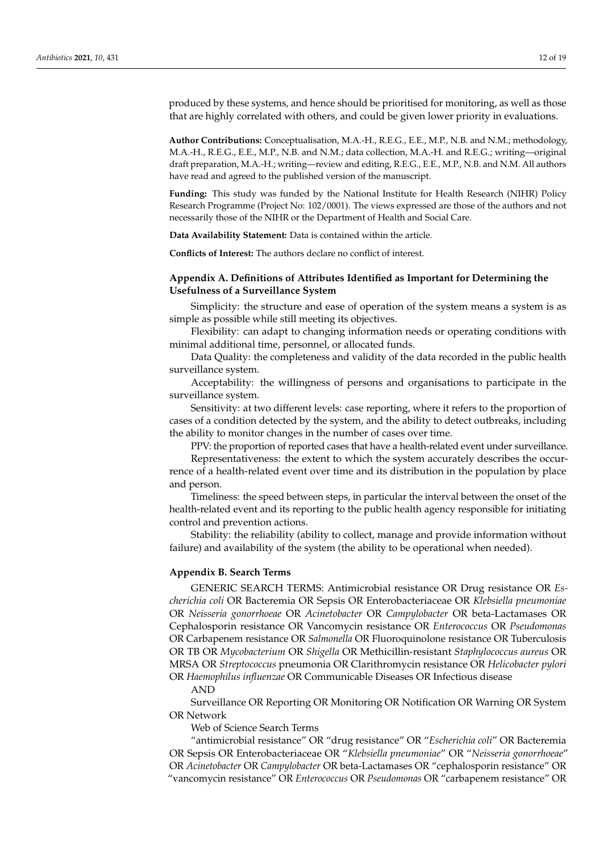produced by these systems, and hence should be prioritised for monitoring, as well as those that are highly correlated with others, and could be given lower priority in evaluations.

**Author Contributions:** Conceptualisation, M.A.-H., R.E.G., E.E., M.P., N.B. and N.M.; methodology, M.A.-H., R.E.G., E.E., M.P., N.B. and N.M.; data collection, M.A.-H. and R.E.G.; writing—original draft preparation, M.A.-H.; writing—review and editing, R.E.G., E.E., M.P., N.B. and N.M. All authors have read and agreed to the published version of the manuscript.

**Funding:** This study was funded by the National Institute for Health Research (NIHR) Policy Research Programme (Project No: 102/0001). The views expressed are those of the authors and not necessarily those of the NIHR or the Department of Health and Social Care.

**Data Availability Statement:** Data is contained within the article.

**Conflicts of Interest:** The authors declare no conflict of interest.

### <span id="page-11-0"></span>**Appendix A. Definitions of Attributes Identified as Important for Determining the Usefulness of a Surveillance System**

Simplicity: the structure and ease of operation of the system means a system is as simple as possible while still meeting its objectives.

Flexibility: can adapt to changing information needs or operating conditions with minimal additional time, personnel, or allocated funds.

Data Quality: the completeness and validity of the data recorded in the public health surveillance system.

Acceptability: the willingness of persons and organisations to participate in the surveillance system.

Sensitivity: at two different levels: case reporting, where it refers to the proportion of cases of a condition detected by the system, and the ability to detect outbreaks, including the ability to monitor changes in the number of cases over time.

PPV: the proportion of reported cases that have a health-related event under surveillance.

Representativeness: the extent to which the system accurately describes the occurrence of a health-related event over time and its distribution in the population by place and person.

Timeliness: the speed between steps, in particular the interval between the onset of the health-related event and its reporting to the public health agency responsible for initiating control and prevention actions.

Stability: the reliability (ability to collect, manage and provide information without failure) and availability of the system (the ability to be operational when needed).

#### <span id="page-11-1"></span>**Appendix B. Search Terms**

GENERIC SEARCH TERMS: Antimicrobial resistance OR Drug resistance OR *Escherichia coli* OR Bacteremia OR Sepsis OR Enterobacteriaceae OR *Klebsiella pneumoniae* OR *Neisseria gonorrhoeae* OR *Acinetobacter* OR *Campylobacter* OR beta-Lactamases OR Cephalosporin resistance OR Vancomycin resistance OR *Enterococcus* OR *Pseudomonas* OR Carbapenem resistance OR *Salmonella* OR Fluoroquinolone resistance OR Tuberculosis OR TB OR *Mycobacterium* OR *Shigella* OR Methicillin-resistant *Staphylococcus aureus* OR MRSA OR *Streptococcus* pneumonia OR Clarithromycin resistance OR *Helicobacter pylori* OR *Haemophilus influenzae* OR Communicable Diseases OR Infectious disease

AND

Surveillance OR Reporting OR Monitoring OR Notification OR Warning OR System OR Network

Web of Science Search Terms

"antimicrobial resistance" OR "drug resistance" OR "*Escherichia coli*" OR Bacteremia OR Sepsis OR Enterobacteriaceae OR "*Klebsiella pneumoniae*" OR "*Neisseria gonorrhoeae*" OR *Acinetobacter* OR *Campylobacter* OR beta-Lactamases OR "cephalosporin resistance" OR "vancomycin resistance" OR *Enterococcus* OR *Pseudomonas* OR "carbapenem resistance" OR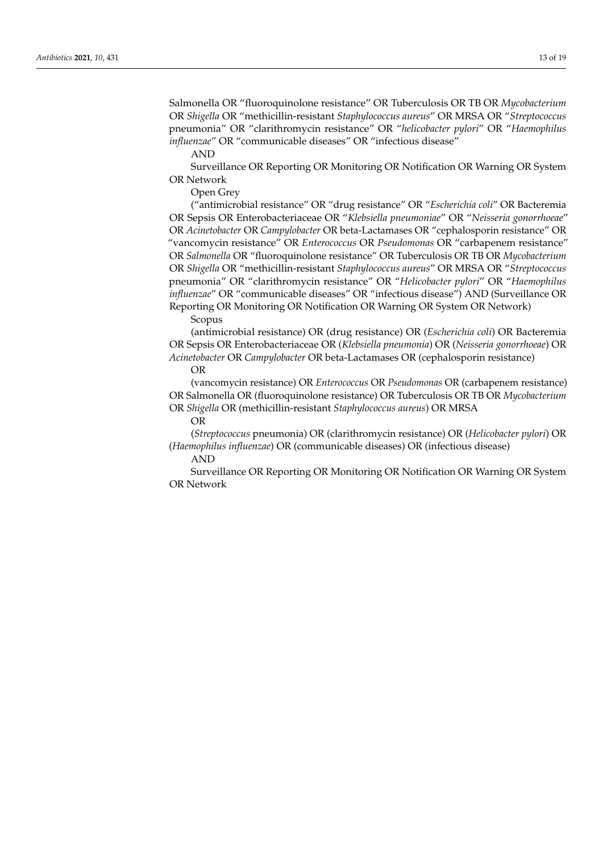Salmonella OR "fluoroquinolone resistance" OR Tuberculosis OR TB OR *Mycobacterium* OR *Shigella* OR "methicillin-resistant *Staphylococcus aureus*" OR MRSA OR "*Streptococcus* pneumonia" OR "clarithromycin resistance" OR "*helicobacter pylori*" OR "*Haemophilus influenzae*" OR "communicable diseases" OR "infectious disease"

AND

Surveillance OR Reporting OR Monitoring OR Notification OR Warning OR System OR Network

Open Grey

("antimicrobial resistance" OR "drug resistance" OR "*Escherichia coli*" OR Bacteremia OR Sepsis OR Enterobacteriaceae OR "*Klebsiella pneumoniae*" OR "*Neisseria gonorrhoeae*" OR *Acinetobacter* OR *Campylobacter* OR beta-Lactamases OR "cephalosporin resistance" OR "vancomycin resistance" OR *Enterococcus* OR *Pseudomonas* OR "carbapenem resistance" OR *Salmonella* OR "fluoroquinolone resistance" OR Tuberculosis OR TB OR *Mycobacterium* OR *Shigella* OR "methicillin-resistant *Staphylococcus aureus*" OR MRSA OR "*Streptococcus* pneumonia" OR "clarithromycin resistance" OR "*Helicobacter pylori*" OR "*Haemophilus influenzae*" OR "communicable diseases" OR "infectious disease") AND (Surveillance OR Reporting OR Monitoring OR Notification OR Warning OR System OR Network)

Scopus

(antimicrobial resistance) OR (drug resistance) OR (*Escherichia coli*) OR Bacteremia OR Sepsis OR Enterobacteriaceae OR (*Klebsiella pneumonia*) OR (*Neisseria gonorrhoeae*) OR *Acinetobacter* OR *Campylobacter* OR beta-Lactamases OR (cephalosporin resistance) OR

(vancomycin resistance) OR *Enterococcus* OR *Pseudomonas* OR (carbapenem resistance) OR Salmonella OR (fluoroquinolone resistance) OR Tuberculosis OR TB OR *Mycobacterium* OR *Shigella* OR (methicillin-resistant *Staphylococcus aureus*) OR MRSA

OR

(*Streptococcus* pneumonia) OR (clarithromycin resistance) OR (*Helicobacter pylori*) OR (*Haemophilus influenzae*) OR (communicable diseases) OR (infectious disease)

AND

Surveillance OR Reporting OR Monitoring OR Notification OR Warning OR System OR Network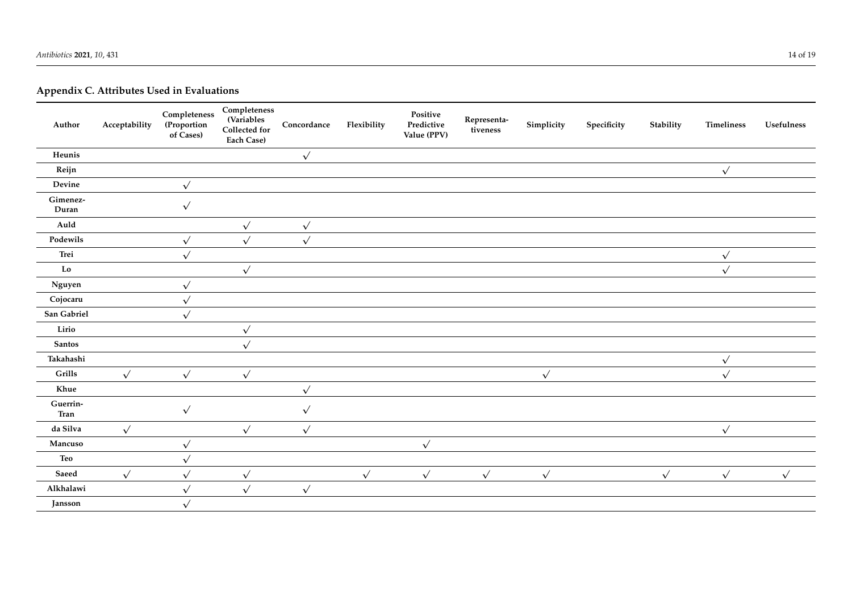# **Appendix C. Attributes Used in Evaluations**

<span id="page-13-0"></span>

| Author                         | Acceptability | $\textbf{Completeness}$<br>(Proportion<br>of Cases) | $\textbf{Completeness}$<br>(Variables<br>Collected for<br>Each Case) | Concordance  | Flexibility  | Positive<br>Predictive<br>Value (PPV) | Representa-<br>tiveness | Simplicity | Specificity | Stability    | Timeliness   | Usefulness |
|--------------------------------|---------------|-----------------------------------------------------|----------------------------------------------------------------------|--------------|--------------|---------------------------------------|-------------------------|------------|-------------|--------------|--------------|------------|
| Heunis                         |               |                                                     |                                                                      | $\checkmark$ |              |                                       |                         |            |             |              |              |            |
| Reijn                          |               |                                                     |                                                                      |              |              |                                       |                         |            |             |              | $\sqrt{ }$   |            |
| Devine                         |               | $\sqrt{ }$                                          |                                                                      |              |              |                                       |                         |            |             |              |              |            |
| Gimenez-<br>Duran              |               | $\sqrt{ }$                                          |                                                                      |              |              |                                       |                         |            |             |              |              |            |
| Auld                           |               |                                                     | $\sqrt{ }$                                                           | $\sqrt{ }$   |              |                                       |                         |            |             |              |              |            |
| Podewils                       |               | $\sqrt{ }$                                          | $\sqrt{ }$                                                           | $\sqrt{ }$   |              |                                       |                         |            |             |              |              |            |
| Trei                           |               | $\checkmark$                                        |                                                                      |              |              |                                       |                         |            |             |              | $\sqrt{ }$   |            |
| Lo                             |               |                                                     | $\sqrt{ }$                                                           |              |              |                                       |                         |            |             |              | $\checkmark$ |            |
| $\boldsymbol{\mathrm{Nguyen}}$ |               | $\sqrt{ }$                                          |                                                                      |              |              |                                       |                         |            |             |              |              |            |
| Cojocaru                       |               | $\sqrt{ }$                                          |                                                                      |              |              |                                       |                         |            |             |              |              |            |
| San Gabriel                    |               | $\sqrt{2}$                                          |                                                                      |              |              |                                       |                         |            |             |              |              |            |
| Lirio                          |               |                                                     | $\sqrt{ }$                                                           |              |              |                                       |                         |            |             |              |              |            |
| Santos                         |               |                                                     | $\sqrt{ }$                                                           |              |              |                                       |                         |            |             |              |              |            |
| Takahashi                      |               |                                                     |                                                                      |              |              |                                       |                         |            |             |              | $\sqrt{ }$   |            |
| Grills                         | $\checkmark$  | $\checkmark$                                        | $\checkmark$                                                         |              |              |                                       |                         | $\sqrt{}$  |             |              | $\checkmark$ |            |
| Khue                           |               |                                                     |                                                                      | $\sqrt{ }$   |              |                                       |                         |            |             |              |              |            |
| Guerrin-<br>Tran               |               | $\sqrt{ }$                                          |                                                                      | $\sqrt{ }$   |              |                                       |                         |            |             |              |              |            |
| da Silva                       | $\checkmark$  |                                                     | $\checkmark$                                                         | $\sqrt{ }$   |              |                                       |                         |            |             |              | $\checkmark$ |            |
| Mancuso                        |               | $\checkmark$                                        |                                                                      |              |              | $\sqrt{ }$                            |                         |            |             |              |              |            |
| Teo                            |               | $\sqrt{ }$                                          |                                                                      |              |              |                                       |                         |            |             |              |              |            |
| Saeed                          | $\checkmark$  | $\sqrt{ }$                                          | $\sqrt{ }$                                                           |              | $\checkmark$ | $\checkmark$                          | $\checkmark$            | $\sqrt{ }$ |             | $\checkmark$ | $\sqrt{ }$   | $\sqrt{ }$ |
| Alkhalawi                      |               | $\sqrt{ }$                                          | $\sqrt{ }$                                                           | $\sqrt{ }$   |              |                                       |                         |            |             |              |              |            |
| Jansson                        |               | $\sqrt{ }$                                          |                                                                      |              |              |                                       |                         |            |             |              |              |            |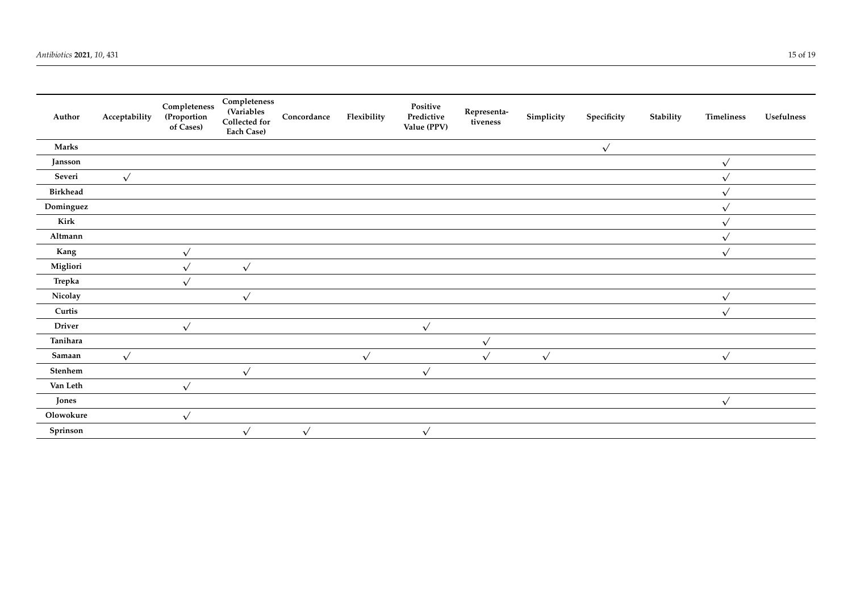| Author          | Acceptability | Completeness<br>(Proportion<br>of Cases) | Completeness<br><b>(Variables</b><br>Collected for<br>Each Case) | Concordance | Flexibility | Positive<br>Predictive<br>Value (PPV) | Representa-<br>tiveness | Simplicity | Specificity | Stability | <b>Timeliness</b> | <b>Usefulness</b> |
|-----------------|---------------|------------------------------------------|------------------------------------------------------------------|-------------|-------------|---------------------------------------|-------------------------|------------|-------------|-----------|-------------------|-------------------|
| Marks           |               |                                          |                                                                  |             |             |                                       |                         |            | $\sqrt{ }$  |           |                   |                   |
| Jansson         |               |                                          |                                                                  |             |             |                                       |                         |            |             |           | $\checkmark$      |                   |
| Severi          | $\sqrt{ }$    |                                          |                                                                  |             |             |                                       |                         |            |             |           | $\checkmark$      |                   |
| Birkhead        |               |                                          |                                                                  |             |             |                                       |                         |            |             |           | $\sqrt{ }$        |                   |
| Dominguez       |               |                                          |                                                                  |             |             |                                       |                         |            |             |           | $\sqrt{ }$        |                   |
| Kirk            |               |                                          |                                                                  |             |             |                                       |                         |            |             |           | $\checkmark$      |                   |
| Altmann         |               |                                          |                                                                  |             |             |                                       |                         |            |             |           | $\sqrt{ }$        |                   |
| Kang            |               | $\sqrt{}$                                |                                                                  |             |             |                                       |                         |            |             |           | $\sqrt{ }$        |                   |
| Migliori        |               | $\sqrt{ }$                               | $\sqrt{}$                                                        |             |             |                                       |                         |            |             |           |                   |                   |
| Trepka          |               | $\sqrt{}$                                |                                                                  |             |             |                                       |                         |            |             |           |                   |                   |
| Nicolay         |               |                                          | $\sqrt{ }$                                                       |             |             |                                       |                         |            |             |           | $\sqrt{ }$        |                   |
| Curtis          |               |                                          |                                                                  |             |             |                                       |                         |            |             |           | $\sqrt{ }$        |                   |
| Driver          |               | $\sqrt{ }$                               |                                                                  |             |             | $\sqrt{ }$                            |                         |            |             |           |                   |                   |
| Tanihara        |               |                                          |                                                                  |             |             |                                       | $\sqrt{ }$              |            |             |           |                   |                   |
| Samaan          | $\sqrt{ }$    |                                          |                                                                  |             | $\sqrt{ }$  |                                       | $\sqrt{ }$              | $\sqrt{ }$ |             |           | $\sqrt{ }$        |                   |
| ${\bf Stenhem}$ |               |                                          | $\sqrt{ }$                                                       |             |             | $\sqrt{ }$                            |                         |            |             |           |                   |                   |
| Van Leth        |               | $\sqrt{ }$                               |                                                                  |             |             |                                       |                         |            |             |           |                   |                   |
| Jones           |               |                                          |                                                                  |             |             |                                       |                         |            |             |           | $\sqrt{ }$        |                   |
| Olowokure       |               | $\sqrt{ }$                               |                                                                  |             |             |                                       |                         |            |             |           |                   |                   |
| Sprinson        |               |                                          | $\sqrt{ }$                                                       | $\sqrt{ }$  |             | $\sqrt{ }$                            |                         |            |             |           |                   |                   |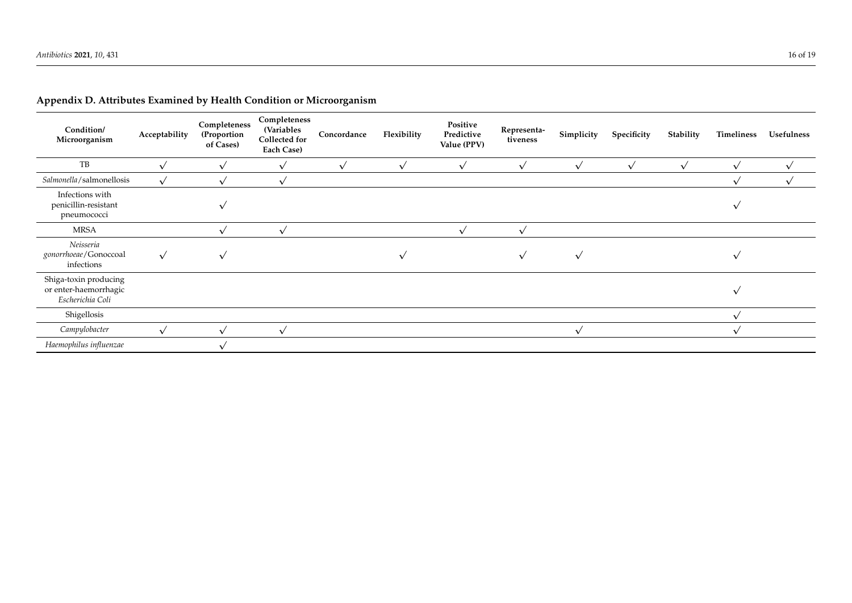<span id="page-15-0"></span>

| Condition/<br>Microorganism                                        | Acceptability | Completeness<br>(Proportion<br>of Cases) | Completeness<br><b>(Variables</b><br>Collected for<br>Each Case) | Concordance | Flexibility | Positive<br>Predictive<br>Value (PPV) | Representa-<br>tiveness | Simplicity   | Specificity | Stability  | Timeliness  | <b>Usefulness</b> |
|--------------------------------------------------------------------|---------------|------------------------------------------|------------------------------------------------------------------|-------------|-------------|---------------------------------------|-------------------------|--------------|-------------|------------|-------------|-------------------|
| TB                                                                 | $\sqrt{ }$    | $\sqrt{ }$                               | $\checkmark$                                                     | $\sqrt{ }$  | $\sqrt{ }$  | $\checkmark$                          | $\checkmark$            | $\sqrt{ }$   | $\sqrt{ }$  | $\sqrt{ }$ | $\sqrt{}$   | $\sqrt{ }$        |
| Salmonella/salmonellosis                                           | $\checkmark$  |                                          | $\checkmark$                                                     |             |             |                                       |                         |              |             |            |             | $\checkmark$      |
| Infections with<br>penicillin-resistant<br>pneumococci             |               |                                          |                                                                  |             |             |                                       |                         |              |             |            | $\sim$      |                   |
| <b>MRSA</b>                                                        |               | $\sqrt{ }$                               | $\checkmark$                                                     |             |             | $\sqrt{ }$                            | $\checkmark$            |              |             |            |             |                   |
| Neisseria<br>gonorrhoeae/Gonoccoal<br>infections                   | $\sqrt{ }$    |                                          |                                                                  |             |             |                                       | $\checkmark$            | $\checkmark$ |             |            |             |                   |
| Shiga-toxin producing<br>or enter-haemorrhagic<br>Escherichia Coli |               |                                          |                                                                  |             |             |                                       |                         |              |             |            | $\mathbf v$ |                   |
| Shigellosis                                                        |               |                                          |                                                                  |             |             |                                       |                         |              |             |            | $\sqrt{ }$  |                   |
| Campylobacter                                                      | $\checkmark$  |                                          | $\checkmark$                                                     |             |             |                                       |                         | $\checkmark$ |             |            |             |                   |
| Haemophilus influenzae                                             |               |                                          |                                                                  |             |             |                                       |                         |              |             |            |             |                   |

### **Appendix D. Attributes Examined by Health Condition or Microorganism**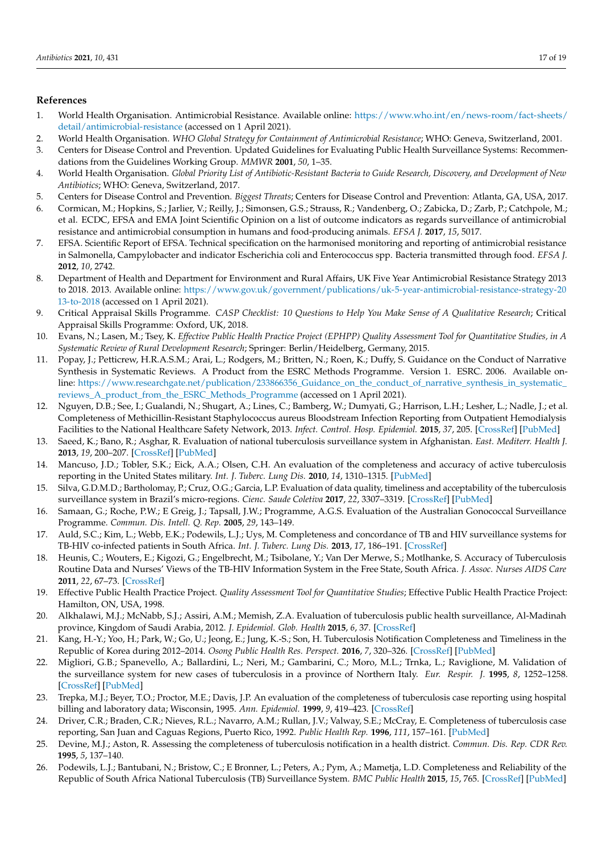#### **References**

- <span id="page-16-0"></span>1. World Health Organisation. Antimicrobial Resistance. Available online: [https://www.who.int/en/news-room/fact-sheets/](https://www.who.int/en/news-room/fact-sheets/detail/antimicrobial-resistance) [detail/antimicrobial-resistance](https://www.who.int/en/news-room/fact-sheets/detail/antimicrobial-resistance) (accessed on 1 April 2021).
- <span id="page-16-1"></span>2. World Health Organisation. *WHO Global Strategy for Containment of Antimicrobial Resistance*; WHO: Geneva, Switzerland, 2001.
- <span id="page-16-2"></span>3. Centers for Disease Control and Prevention. Updated Guidelines for Evaluating Public Health Surveillance Systems: Recommendations from the Guidelines Working Group. *MMWR* **2001**, *50*, 1–35.
- <span id="page-16-3"></span>4. World Health Organisation. *Global Priority List of Antibiotic-Resistant Bacteria to Guide Research, Discovery, and Development of New Antibiotics*; WHO: Geneva, Switzerland, 2017.
- <span id="page-16-4"></span>5. Centers for Disease Control and Prevention. *Biggest Threats*; Centers for Disease Control and Prevention: Atlanta, GA, USA, 2017.
- <span id="page-16-5"></span>6. Cormican, M.; Hopkins, S.; Jarlier, V.; Reilly, J.; Simonsen, G.S.; Strauss, R.; Vandenberg, O.; Zabicka, D.; Zarb, P.; Catchpole, M.; et al. ECDC, EFSA and EMA Joint Scientific Opinion on a list of outcome indicators as regards surveillance of antimicrobial resistance and antimicrobial consumption in humans and food-producing animals. *EFSA J.* **2017**, *15*, 5017.
- <span id="page-16-6"></span>7. EFSA. Scientific Report of EFSA. Technical specification on the harmonised monitoring and reporting of antimicrobial resistance in Salmonella, Campylobacter and indicator Escherichia coli and Enterococcus spp. Bacteria transmitted through food. *EFSA J.* **2012**, *10*, 2742.
- <span id="page-16-7"></span>8. Department of Health and Department for Environment and Rural Affairs, UK Five Year Antimicrobial Resistance Strategy 2013 to 2018. 2013. Available online: [https://www.gov.uk/government/publications/uk-5-year-antimicrobial-resistance-strategy-20](https://www.gov.uk/government/publications/uk-5-year-antimicrobial-resistance-strategy-2013-to-2018) [13-to-2018](https://www.gov.uk/government/publications/uk-5-year-antimicrobial-resistance-strategy-2013-to-2018) (accessed on 1 April 2021).
- <span id="page-16-8"></span>9. Critical Appraisal Skills Programme. *CASP Checklist: 10 Questions to Help You Make Sense of A Qualitative Research*; Critical Appraisal Skills Programme: Oxford, UK, 2018.
- <span id="page-16-9"></span>10. Evans, N.; Lasen, M.; Tsey, K. *Effective Public Health Practice Project (EPHPP) Quality Assessment Tool for Quantitative Studies, in A Systematic Review of Rural Development Research*; Springer: Berlin/Heidelberg, Germany, 2015.
- <span id="page-16-10"></span>11. Popay, J.; Petticrew, H.R.A.S.M.; Arai, L.; Rodgers, M.; Britten, N.; Roen, K.; Duffy, S. Guidance on the Conduct of Narrative Synthesis in Systematic Reviews. A Product from the ESRC Methods Programme. Version 1. ESRC. 2006. Available online: https://www.researchgate.net/publication/233866356 Guidance on the conduct of narrative synthesis in systematic reviews A\_product\_from\_the\_ESRC\_Methods\_Programme (accessed on 1 April 2021).
- <span id="page-16-11"></span>12. Nguyen, D.B.; See, I.; Gualandi, N.; Shugart, A.; Lines, C.; Bamberg, W.; Dumyati, G.; Harrison, L.H.; Lesher, L.; Nadle, J.; et al. Completeness of Methicillin-Resistant Staphylococcus aureus Bloodstream Infection Reporting from Outpatient Hemodialysis Facilities to the National Healthcare Safety Network, 2013. *Infect. Control. Hosp. Epidemiol.* **2015**, *37*, 205. [\[CrossRef\]](http://doi.org/10.1017/ice.2015.265) [\[PubMed\]](http://www.ncbi.nlm.nih.gov/pubmed/26554448)
- <span id="page-16-12"></span>13. Saeed, K.; Bano, R.; Asghar, R. Evaluation of national tuberculosis surveillance system in Afghanistan. *East. Mediterr. Health J.* **2013**, *19*, 200–207. [\[CrossRef\]](http://doi.org/10.26719/2013.19.2.200) [\[PubMed\]](http://www.ncbi.nlm.nih.gov/pubmed/23516833)
- <span id="page-16-13"></span>14. Mancuso, J.D.; Tobler, S.K.; Eick, A.A.; Olsen, C.H. An evaluation of the completeness and accuracy of active tuberculosis reporting in the United States military. *Int. J. Tuberc. Lung Dis.* **2010**, *14*, 1310–1315. [\[PubMed\]](http://www.ncbi.nlm.nih.gov/pubmed/20843423)
- <span id="page-16-14"></span>15. Silva, G.D.M.D.; Bartholomay, P.; Cruz, O.G.; Garcia, L.P. Evaluation of data quality, timeliness and acceptability of the tuberculosis surveillance system in Brazil's micro-regions. *Cienc. Saude Coletiva* **2017**, *22*, 3307–3319. [\[CrossRef\]](http://doi.org/10.1590/1413-812320172210.18032017) [\[PubMed\]](http://www.ncbi.nlm.nih.gov/pubmed/29069186)
- <span id="page-16-23"></span>16. Samaan, G.; Roche, P.W.; E Greig, J.; Tapsall, J.W.; Programme, A.G.S. Evaluation of the Australian Gonococcal Surveillance Programme. *Commun. Dis. Intell. Q. Rep.* **2005**, *29*, 143–149.
- <span id="page-16-22"></span>17. Auld, S.C.; Kim, L.; Webb, E.K.; Podewils, L.J.; Uys, M. Completeness and concordance of TB and HIV surveillance systems for TB-HIV co-infected patients in South Africa. *Int. J. Tuberc. Lung Dis.* **2013**, *17*, 186–191. [\[CrossRef\]](http://doi.org/10.5588/ijtld.12.0530)
- <span id="page-16-15"></span>18. Heunis, C.; Wouters, E.; Kigozi, G.; Engelbrecht, M.; Tsibolane, Y.; Van Der Merwe, S.; Motlhanke, S. Accuracy of Tuberculosis Routine Data and Nurses' Views of the TB-HIV Information System in the Free State, South Africa. *J. Assoc. Nurses AIDS Care* **2011**, *22*, 67–73. [\[CrossRef\]](http://doi.org/10.1016/j.jana.2010.06.003)
- <span id="page-16-16"></span>19. Effective Public Health Practice Project. *Quality Assessment Tool for Quantitative Studies*; Effective Public Health Practice Project: Hamilton, ON, USA, 1998.
- <span id="page-16-17"></span>20. Alkhalawi, M.J.; McNabb, S.J.; Assiri, A.M.; Memish, Z.A. Evaluation of tuberculosis public health surveillance, Al-Madinah province, Kingdom of Saudi Arabia, 2012. *J. Epidemiol. Glob. Health* **2015**, *6*, 37. [\[CrossRef\]](http://doi.org/10.1016/j.jegh.2015.04.005)
- <span id="page-16-20"></span>21. Kang, H.-Y.; Yoo, H.; Park, W.; Go, U.; Jeong, E.; Jung, K.-S.; Son, H. Tuberculosis Notification Completeness and Timeliness in the Republic of Korea during 2012–2014. *Osong Public Health Res. Perspect.* **2016**, *7*, 320–326. [\[CrossRef\]](http://doi.org/10.1016/j.phrp.2016.08.002) [\[PubMed\]](http://www.ncbi.nlm.nih.gov/pubmed/27812491)
- <span id="page-16-21"></span>22. Migliori, G.B.; Spanevello, A.; Ballardini, L.; Neri, M.; Gambarini, C.; Moro, M.L.; Trnka, L.; Raviglione, M. Validation of the surveillance system for new cases of tuberculosis in a province of Northern Italy. *Eur. Respir. J.* **1995**, *8*, 1252–1258. [\[CrossRef\]](http://doi.org/10.1183/09031936.95.08081252) [\[PubMed\]](http://www.ncbi.nlm.nih.gov/pubmed/7489786)
- 23. Trepka, M.J.; Beyer, T.O.; Proctor, M.E.; Davis, J.P. An evaluation of the completeness of tuberculosis case reporting using hospital billing and laboratory data; Wisconsin, 1995. *Ann. Epidemiol.* **1999**, *9*, 419–423. [\[CrossRef\]](http://doi.org/10.1016/S1047-2797(99)00011-3)
- <span id="page-16-18"></span>24. Driver, C.R.; Braden, C.R.; Nieves, R.L.; Navarro, A.M.; Rullan, J.V.; Valway, S.E.; McCray, E. Completeness of tuberculosis case reporting, San Juan and Caguas Regions, Puerto Rico, 1992. *Public Health Rep.* **1996**, *111*, 157–161. [\[PubMed\]](http://www.ncbi.nlm.nih.gov/pubmed/8606915)
- <span id="page-16-24"></span>25. Devine, M.J.; Aston, R. Assessing the completeness of tuberculosis notification in a health district. *Commun. Dis. Rep. CDR Rev.* **1995**, *5*, 137–140.
- <span id="page-16-19"></span>26. Podewils, L.J.; Bantubani, N.; Bristow, C.; E Bronner, L.; Peters, A.; Pym, A.; Mametja, L.D. Completeness and Reliability of the Republic of South Africa National Tuberculosis (TB) Surveillance System. *BMC Public Health* **2015**, *15*, 765. [\[CrossRef\]](http://doi.org/10.1186/s12889-015-2117-3) [\[PubMed\]](http://www.ncbi.nlm.nih.gov/pubmed/26259599)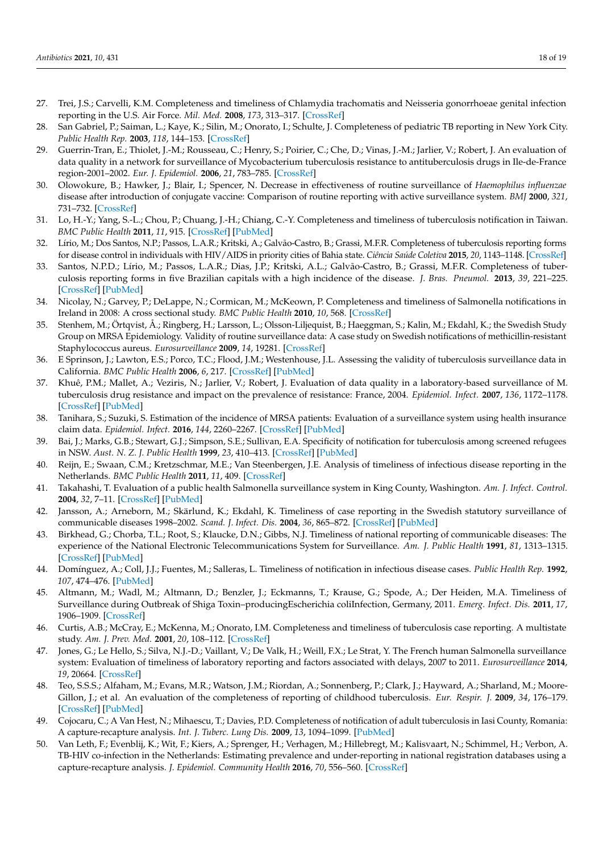- <span id="page-17-9"></span>27. Trei, J.S.; Carvelli, K.M. Completeness and timeliness of Chlamydia trachomatis and Neisseria gonorrhoeae genital infection reporting in the U.S. Air Force. *Mil. Med.* **2008**, *173*, 313–317. [\[CrossRef\]](http://doi.org/10.7205/MILMED.173.3.313)
- <span id="page-17-6"></span>28. San Gabriel, P.; Saiman, L.; Kaye, K.; Silin, M.; Onorato, I.; Schulte, J. Completeness of pediatric TB reporting in New York City. *Public Health Rep.* **2003**, *118*, 144–153. [\[CrossRef\]](http://doi.org/10.1093/phr/118.2.144)
- <span id="page-17-8"></span>29. Guerrin-Tran, E.; Thiolet, J.-M.; Rousseau, C.; Henry, S.; Poirier, C.; Che, D.; Vinas, J.-M.; Jarlier, V.; Robert, J. An evaluation of data quality in a network for surveillance of Mycobacterium tuberculosis resistance to antituberculosis drugs in Ile-de-France region-2001–2002. *Eur. J. Epidemiol.* **2006**, *21*, 783–785. [\[CrossRef\]](http://doi.org/10.1007/s10654-006-9069-y)
- <span id="page-17-5"></span>30. Olowokure, B.; Hawker, J.; Blair, I.; Spencer, N. Decrease in effectiveness of routine surveillance of *Haemophilus influenzae* disease after introduction of conjugate vaccine: Comparison of routine reporting with active surveillance system. *BMJ* **2000**, *321*, 731–732. [\[CrossRef\]](http://doi.org/10.1136/bmj.321.7263.731)
- <span id="page-17-10"></span>31. Lo, H.-Y.; Yang, S.-L.; Chou, P.; Chuang, J.-H.; Chiang, C.-Y. Completeness and timeliness of tuberculosis notification in Taiwan. *BMC Public Health* **2011**, *11*, 915. [\[CrossRef\]](http://doi.org/10.1186/1471-2458-11-915) [\[PubMed\]](http://www.ncbi.nlm.nih.gov/pubmed/22151346)
- 32. Lírio, M.; Dos Santos, N.P.; Passos, L.A.R.; Kritski, A.; Galvão-Castro, B.; Grassi, M.F.R. Completeness of tuberculosis reporting forms for disease control in individuals with HIV/AIDS in priority cities of Bahia state. *Ciência Saúde Coletiva* **2015**, *20*, 1143–1148. [\[CrossRef\]](http://doi.org/10.1590/1413-81232015204.00672014)
- 33. Santos, N.P.D.; Lírio, M.; Passos, L.A.R.; Dias, J.P.; Kritski, A.L.; Galvão-Castro, B.; Grassi, M.F.R. Completeness of tuberculosis reporting forms in five Brazilian capitals with a high incidence of the disease. *J. Bras. Pneumol.* **2013**, *39*, 221–225. [\[CrossRef\]](http://doi.org/10.1590/S1806-37132013000200014) [\[PubMed\]](http://www.ncbi.nlm.nih.gov/pubmed/23670508)
- <span id="page-17-13"></span>34. Nicolay, N.; Garvey, P.; DeLappe, N.; Cormican, M.; McKeown, P. Completeness and timeliness of Salmonella notifications in Ireland in 2008: A cross sectional study. *BMC Public Health* **2010**, *10*, 568. [\[CrossRef\]](http://doi.org/10.1186/1471-2458-10-568)
- <span id="page-17-18"></span>35. Stenhem, M.; Örtqvist, Å.; Ringberg, H.; Larsson, L.; Olsson-Liljequist, B.; Haeggman, S.; Kalin, M.; Ekdahl, K.; the Swedish Study Group on MRSA Epidemiology. Validity of routine surveillance data: A case study on Swedish notifications of methicillin-resistant Staphylococcus aureus. *Eurosurveillance* **2009**, *14*, 19281. [\[CrossRef\]](http://doi.org/10.2807/ese.14.30.19281-en)
- <span id="page-17-11"></span>36. E Sprinson, J.; Lawton, E.S.; Porco, T.C.; Flood, J.M.; Westenhouse, J.L. Assessing the validity of tuberculosis surveillance data in California. *BMC Public Health* **2006**, *6*, 217. [\[CrossRef\]](http://doi.org/10.1186/1471-2458-6-217) [\[PubMed\]](http://www.ncbi.nlm.nih.gov/pubmed/16930492)
- <span id="page-17-12"></span>37. Khuê, P.M.; Mallet, A.; Veziris, N.; Jarlier, V.; Robert, J. Evaluation of data quality in a laboratory-based surveillance of M. tuberculosis drug resistance and impact on the prevalence of resistance: France, 2004. *Epidemiol. Infect.* **2007**, *136*, 1172–1178. [\[CrossRef\]](http://doi.org/10.1017/S0950268807009867) [\[PubMed\]](http://www.ncbi.nlm.nih.gov/pubmed/18028573)
- <span id="page-17-19"></span>38. Tanihara, S.; Suzuki, S. Estimation of the incidence of MRSA patients: Evaluation of a surveillance system using health insurance claim data. *Epidemiol. Infect.* **2016**, *144*, 2260–2267. [\[CrossRef\]](http://doi.org/10.1017/S0950268816000674) [\[PubMed\]](http://www.ncbi.nlm.nih.gov/pubmed/27350233)
- <span id="page-17-4"></span>39. Bai, J.; Marks, G.B.; Stewart, G.J.; Simpson, S.E.; Sullivan, E.A. Specificity of notification for tuberculosis among screened refugees in NSW. *Aust. N. Z. J. Public Health* **1999**, *23*, 410–413. [\[CrossRef\]](http://doi.org/10.1111/j.1467-842X.1999.tb01284.x) [\[PubMed\]](http://www.ncbi.nlm.nih.gov/pubmed/10462866)
- <span id="page-17-14"></span>40. Reijn, E.; Swaan, C.M.; Kretzschmar, M.E.; Van Steenbergen, J.E. Analysis of timeliness of infectious disease reporting in the Netherlands. *BMC Public Health* **2011**, *11*, 409. [\[CrossRef\]](http://doi.org/10.1186/1471-2458-11-409)
- <span id="page-17-17"></span>41. Takahashi, T. Evaluation of a public health Salmonella surveillance system in King County, Washington. *Am. J. Infect. Control.* **2004**, *32*, 7–11. [\[CrossRef\]](http://doi.org/10.1016/j.ajic.2003.06.003) [\[PubMed\]](http://www.ncbi.nlm.nih.gov/pubmed/14755228)
- <span id="page-17-1"></span>42. Jansson, A.; Arneborn, M.; Skärlund, K.; Ekdahl, K. Timeliness of case reporting in the Swedish statutory surveillance of communicable diseases 1998–2002. *Scand. J. Infect. Dis.* **2004**, *36*, 865–872. [\[CrossRef\]](http://doi.org/10.1080/00365540410025348) [\[PubMed\]](http://www.ncbi.nlm.nih.gov/pubmed/15764175)
- <span id="page-17-15"></span>43. Birkhead, G.; Chorba, T.L.; Root, S.; Klaucke, D.N.; Gibbs, N.J. Timeliness of national reporting of communicable diseases: The experience of the National Electronic Telecommunications System for Surveillance. *Am. J. Public Health* **1991**, *81*, 1313–1315. [\[CrossRef\]](http://doi.org/10.2105/AJPH.81.10.1313) [\[PubMed\]](http://www.ncbi.nlm.nih.gov/pubmed/1928531)
- <span id="page-17-16"></span>44. Domínguez, A.; Coll, J.J.; Fuentes, M.; Salleras, L. Timeliness of notification in infectious disease cases. *Public Health Rep.* **1992**, *107*, 474–476. [\[PubMed\]](http://www.ncbi.nlm.nih.gov/pubmed/1641446)
- <span id="page-17-20"></span>45. Altmann, M.; Wadl, M.; Altmann, D.; Benzler, J.; Eckmanns, T.; Krause, G.; Spode, A.; Der Heiden, M.A. Timeliness of Surveillance during Outbreak of Shiga Toxin–producingEscherichia coliInfection, Germany, 2011. *Emerg. Infect. Dis.* **2011**, *17*, 1906–1909. [\[CrossRef\]](http://doi.org/10.3201/eid1710.111027)
- 46. Curtis, A.B.; McCray, E.; McKenna, M.; Onorato, I.M. Completeness and timeliness of tuberculosis case reporting. A multistate study. *Am. J. Prev. Med.* **2001**, *20*, 108–112. [\[CrossRef\]](http://doi.org/10.1016/S0749-3797(00)00284-1)
- <span id="page-17-0"></span>47. Jones, G.; Le Hello, S.; Silva, N.J.-D.; Vaillant, V.; De Valk, H.; Weill, F.X.; Le Strat, Y. The French human Salmonella surveillance system: Evaluation of timeliness of laboratory reporting and factors associated with delays, 2007 to 2011. *Eurosurveillance* **2014**, *19*, 20664. [\[CrossRef\]](http://doi.org/10.2807/1560-7917.ES2014.19.1.20664)
- <span id="page-17-2"></span>48. Teo, S.S.S.; Alfaham, M.; Evans, M.R.; Watson, J.M.; Riordan, A.; Sonnenberg, P.; Clark, J.; Hayward, A.; Sharland, M.; Moore-Gillon, J.; et al. An evaluation of the completeness of reporting of childhood tuberculosis. *Eur. Respir. J.* **2009**, *34*, 176–179. [\[CrossRef\]](http://doi.org/10.1183/09031936.00031808) [\[PubMed\]](http://www.ncbi.nlm.nih.gov/pubmed/19251788)
- <span id="page-17-7"></span>49. Cojocaru, C.; A Van Hest, N.; Mihaescu, T.; Davies, P.D. Completeness of notification of adult tuberculosis in Iasi County, Romania: A capture-recapture analysis. *Int. J. Tuberc. Lung Dis.* **2009**, *13*, 1094–1099. [\[PubMed\]](http://www.ncbi.nlm.nih.gov/pubmed/19723397)
- <span id="page-17-3"></span>50. Van Leth, F.; Evenblij, K.; Wit, F.; Kiers, A.; Sprenger, H.; Verhagen, M.; Hillebregt, M.; Kalisvaart, N.; Schimmel, H.; Verbon, A. TB-HIV co-infection in the Netherlands: Estimating prevalence and under-reporting in national registration databases using a capture-recapture analysis. *J. Epidemiol. Community Health* **2016**, *70*, 556–560. [\[CrossRef\]](http://doi.org/10.1136/jech-2015-206680)